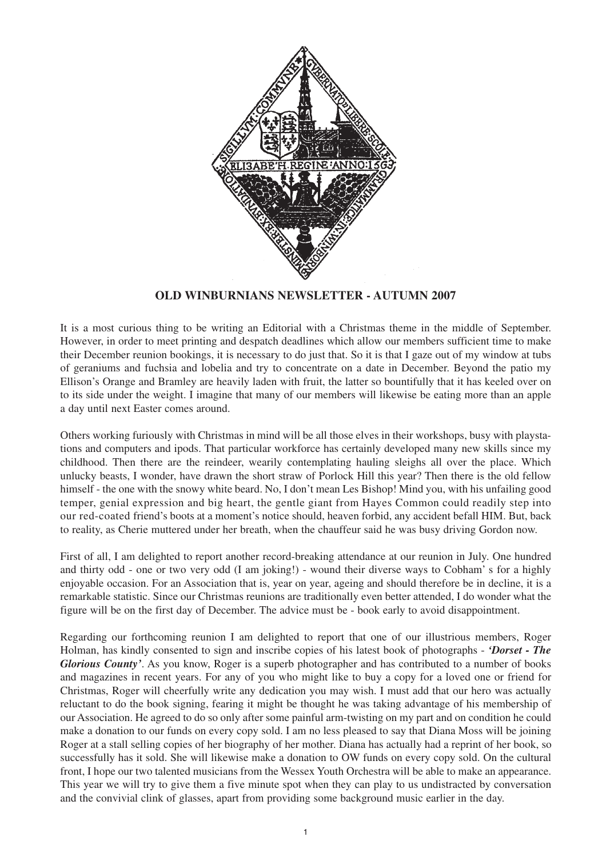

# **OLD WINBURNIANS NEWSLETTER - AUTUMN 2007**

It is a most curious thing to be writing an Editorial with a Christmas theme in the middle of September. However, in order to meet printing and despatch deadlines which allow our members sufficient time to make their December reunion bookings, it is necessary to do just that. So it is that I gaze out of my window at tubs of geraniums and fuchsia and lobelia and try to concentrate on a date in December. Beyond the patio my Ellison's Orange and Bramley are heavily laden with fruit, the latter so bountifully that it has keeled over on to its side under the weight. I imagine that many of our members will likewise be eating more than an apple a day until next Easter comes around.

Others working furiously with Christmas in mind will be all those elves in their workshops, busy with playstations and computers and ipods. That particular workforce has certainly developed many new skills since my childhood. Then there are the reindeer, wearily contemplating hauling sleighs all over the place. Which unlucky beasts, I wonder, have drawn the short straw of Porlock Hill this year? Then there is the old fellow himself - the one with the snowy white beard. No, I don't mean Les Bishop! Mind you, with his unfailing good temper, genial expression and big heart, the gentle giant from Hayes Common could readily step into our red-coated friend's boots at a moment's notice should, heaven forbid, any accident befall HIM. But, back to reality, as Cherie muttered under her breath, when the chauffeur said he was busy driving Gordon now.

First of all, I am delighted to report another record-breaking attendance at our reunion in July. One hundred and thirty odd - one or two very odd (I am joking!) - wound their diverse ways to Cobham' s for a highly enjoyable occasion. For an Association that is, year on year, ageing and should therefore be in decline, it is a remarkable statistic. Since our Christmas reunions are traditionally even better attended, I do wonder what the figure will be on the first day of December. The advice must be - book early to avoid disappointment.

Regarding our forthcoming reunion I am delighted to report that one of our illustrious members, Roger Holman, has kindly consented to sign and inscribe copies of his latest book of photographs - *'Dorset - The Glorious County'*. As you know, Roger is a superb photographer and has contributed to a number of books and magazines in recent years. For any of you who might like to buy a copy for a loved one or friend for Christmas, Roger will cheerfully write any dedication you may wish. I must add that our hero was actually reluctant to do the book signing, fearing it might be thought he was taking advantage of his membership of our Association. He agreed to do so only after some painful arm-twisting on my part and on condition he could make a donation to our funds on every copy sold. I am no less pleased to say that Diana Moss will be joining Roger at a stall selling copies of her biography of her mother. Diana has actually had a reprint of her book, so successfully has it sold. She will likewise make a donation to OW funds on every copy sold. On the cultural front, I hope our two talented musicians from the Wessex Youth Orchestra will be able to make an appearance. This year we will try to give them a five minute spot when they can play to us undistracted by conversation and the convivial clink of glasses, apart from providing some background music earlier in the day.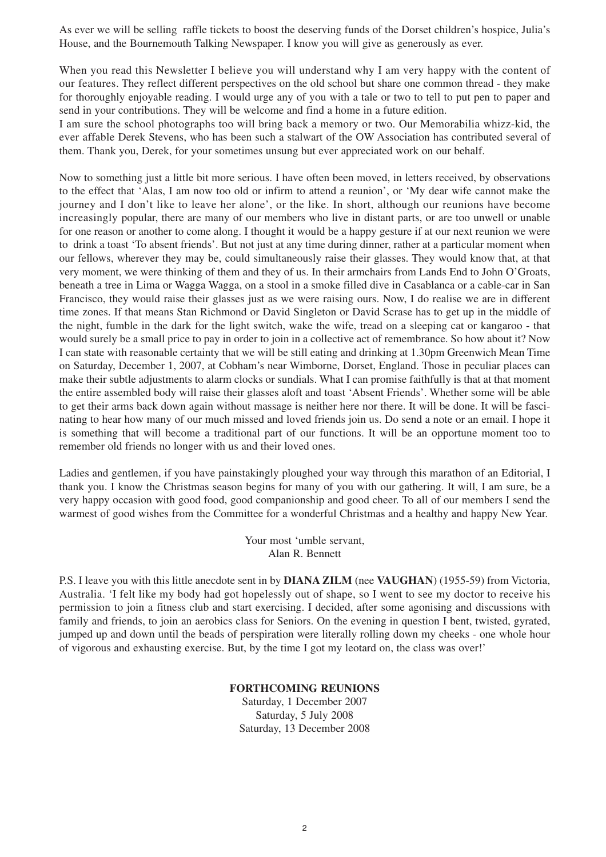As ever we will be selling raffle tickets to boost the deserving funds of the Dorset children's hospice, Julia's House, and the Bournemouth Talking Newspaper. I know you will give as generously as ever.

When you read this Newsletter I believe you will understand why I am very happy with the content of our features. They reflect different perspectives on the old school but share one common thread - they make for thoroughly enjoyable reading. I would urge any of you with a tale or two to tell to put pen to paper and send in your contributions. They will be welcome and find a home in a future edition.

I am sure the school photographs too will bring back a memory or two. Our Memorabilia whizz-kid, the ever affable Derek Stevens, who has been such a stalwart of the OW Association has contributed several of them. Thank you, Derek, for your sometimes unsung but ever appreciated work on our behalf.

Now to something just a little bit more serious. I have often been moved, in letters received, by observations to the effect that 'Alas, I am now too old or infirm to attend a reunion', or 'My dear wife cannot make the journey and I don't like to leave her alone', or the like. In short, although our reunions have become increasingly popular, there are many of our members who live in distant parts, or are too unwell or unable for one reason or another to come along. I thought it would be a happy gesture if at our next reunion we were to drink a toast 'To absent friends'. But not just at any time during dinner, rather at a particular moment when our fellows, wherever they may be, could simultaneously raise their glasses. They would know that, at that very moment, we were thinking of them and they of us. In their armchairs from Lands End to John O'Groats, beneath a tree in Lima or Wagga Wagga, on a stool in a smoke filled dive in Casablanca or a cable-car in San Francisco, they would raise their glasses just as we were raising ours. Now, I do realise we are in different time zones. If that means Stan Richmond or David Singleton or David Scrase has to get up in the middle of the night, fumble in the dark for the light switch, wake the wife, tread on a sleeping cat or kangaroo - that would surely be a small price to pay in order to join in a collective act of remembrance. So how about it? Now I can state with reasonable certainty that we will be still eating and drinking at 1.30pm Greenwich Mean Time on Saturday, December 1, 2007, at Cobham's near Wimborne, Dorset, England. Those in peculiar places can make their subtle adjustments to alarm clocks or sundials. What I can promise faithfully is that at that moment the entire assembled body will raise their glasses aloft and toast 'Absent Friends'. Whether some will be able to get their arms back down again without massage is neither here nor there. It will be done. It will be fascinating to hear how many of our much missed and loved friends join us. Do send a note or an email. I hope it is something that will become a traditional part of our functions. It will be an opportune moment too to remember old friends no longer with us and their loved ones.

Ladies and gentlemen, if you have painstakingly ploughed your way through this marathon of an Editorial, I thank you. I know the Christmas season begins for many of you with our gathering. It will, I am sure, be a very happy occasion with good food, good companionship and good cheer. To all of our members I send the warmest of good wishes from the Committee for a wonderful Christmas and a healthy and happy New Year.

> Your most 'umble servant, Alan R. Bennett

P.S. I leave you with this little anecdote sent in by **DIANA ZILM** (nee **VAUGHAN**) (1955-59) from Victoria, Australia. 'I felt like my body had got hopelessly out of shape, so I went to see my doctor to receive his permission to join a fitness club and start exercising. I decided, after some agonising and discussions with family and friends, to join an aerobics class for Seniors. On the evening in question I bent, twisted, gyrated, jumped up and down until the beads of perspiration were literally rolling down my cheeks - one whole hour of vigorous and exhausting exercise. But, by the time I got my leotard on, the class was over!'

# **FORTHCOMING REUNIONS**

Saturday, 1 December 2007 Saturday, 5 July 2008 Saturday, 13 December 2008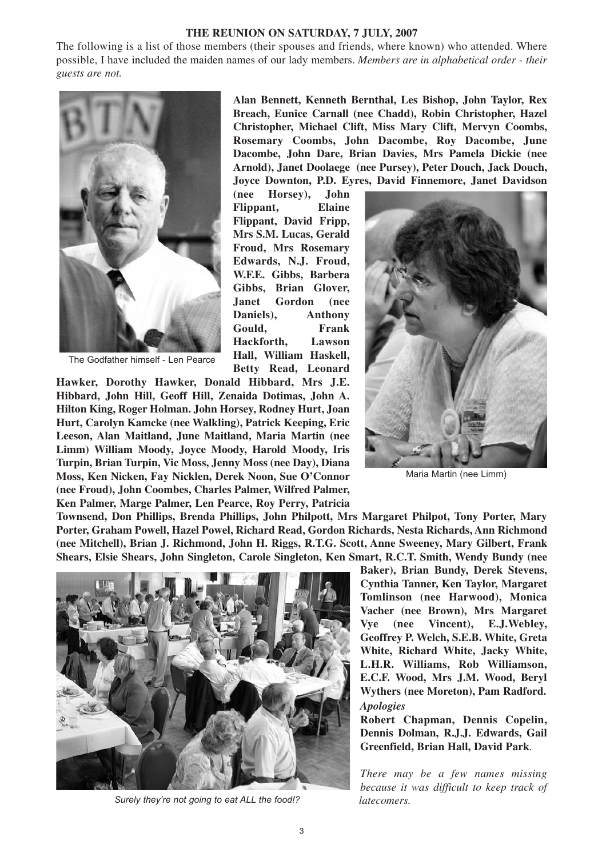#### **THE REUNION ON SATURDAY, 7 JULY, 2007**

The following is a list of those members (their spouses and friends, where known) who attended. Where possible, I have included the maiden names of our lady members. *Members are in alphabetical order - their guests are not.*



The Godfather himself - Len Pearce

**Alan Bennett, Kenneth Bernthal, Les Bishop, John Taylor, Rex Breach, Eunice Carnall (nee Chadd), Robin Christopher, Hazel Christopher, Michael Clift, Miss Mary Clift, Mervyn Coombs, Rosemary Coombs, John Dacombe, Roy Dacombe, June Dacombe, John Dare, Brian Davies, Mrs Pamela Dickie (nee Arnold), Janet Doolaege (nee Pursey), Peter Douch, Jack Douch, Joyce Downton, P.D. Eyres, David Finnemore, Janet Davidson**

**(nee Horsey), John Flippant, Elaine Flippant, David Fripp, Mrs S.M. Lucas, Gerald Froud, Mrs Rosemary Edwards, N.J. Froud, W.F.E. Gibbs, Barbera Gibbs, Brian Glover, Janet Gordon (nee Daniels), Anthony Gould, Frank Hackforth, Lawson Hall, William Haskell, Betty Read, Leonard**

**Hawker, Dorothy Hawker, Donald Hibbard, Mrs J.E. Hibbard, John Hill, Geoff Hill, Zenaida Dotimas, John A. Hilton King, Roger Holman. John Horsey, Rodney Hurt, Joan Hurt, Carolyn Kamcke (nee Walkling), Patrick Keeping, Eric Leeson, Alan Maitland, June Maitland, Maria Martin (nee Limm) William Moody, Joyce Moody, Harold Moody, Iris Turpin, Brian Turpin, Vic Moss, Jenny Moss (nee Day), Diana Moss, Ken Nicken, Fay Nicklen, Derek Noon, Sue O'Connor (nee Froud), John Coombes, Charles Palmer, Wilfred Palmer, Ken Palmer, Marge Palmer, Len Pearce, Roy Perry, Patricia**



Maria Martin (nee Limm)

**Townsend, Don Phillips, Brenda Phillips, John Philpott, Mrs Margaret Philpot, Tony Porter, Mary Porter, Graham Powell, Hazel Powel, Richard Read, Gordon Richards, Nesta Richards, Ann Richmond (nee Mitchell), Brian J. Richmond, John H. Riggs, R.T.G. Scott, Anne Sweeney, Mary Gilbert, Frank Shears, Elsie Shears, John Singleton, Carole Singleton, Ken Smart, R.C.T. Smith, Wendy Bundy (nee**



*Surely they're not going to eat ALL the food!?* 

**Baker), Brian Bundy, Derek Stevens, Cynthia Tanner, Ken Taylor, Margaret Tomlinson (nee Harwood), Monica Vacher (nee Brown), Mrs Margaret Vye (nee Vincent), E.J.Webley, Geoffrey P. Welch, S.E.B. White, Greta White, Richard White, Jacky White, L.H.R. Williams, Rob Williamson, E.C.F. Wood, Mrs J.M. Wood, Beryl Wythers (nee Moreton), Pam Radford.**  *Apologies*

**Robert Chapman, Dennis Copelin, Dennis Dolman, R.J.J. Edwards, Gail Greenfield, Brian Hall, David Park**.

*There may be a few names missing because it was difficult to keep track of latecomers.*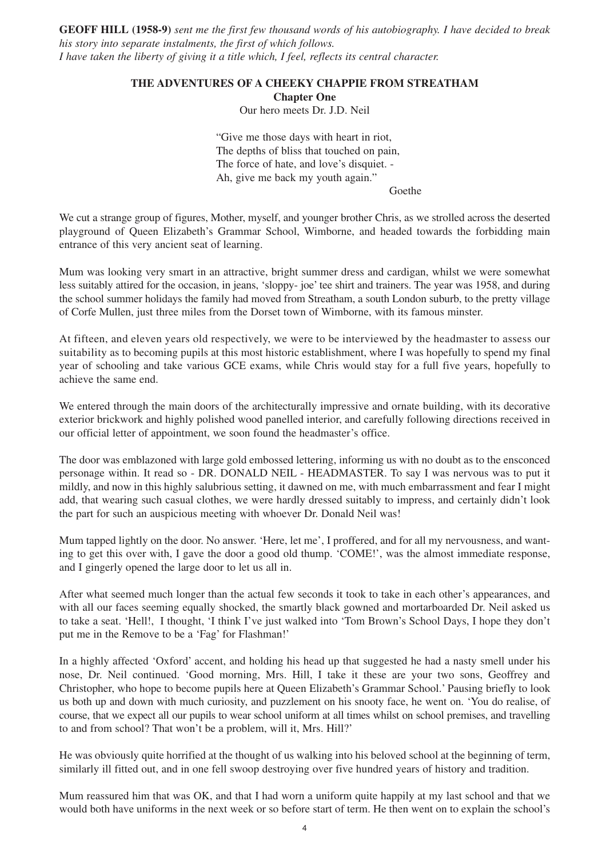**GEOFF HILL (1958-9)** *sent me the first few thousand words of his autobiography. I have decided to break his story into separate instalments, the first of which follows. I have taken the liberty of giving it a title which, I feel, reflects its central character.*

#### **THE ADVENTURES OF A CHEEKY CHAPPIE FROM STREATHAM**

**Chapter One**

Our hero meets Dr. J.D. Neil

"Give me those days with heart in riot, The depths of bliss that touched on pain, The force of hate, and love's disquiet. - Ah, give me back my youth again."

Goethe

We cut a strange group of figures, Mother, myself, and younger brother Chris, as we strolled across the deserted playground of Queen Elizabeth's Grammar School, Wimborne, and headed towards the forbidding main entrance of this very ancient seat of learning.

Mum was looking very smart in an attractive, bright summer dress and cardigan, whilst we were somewhat less suitably attired for the occasion, in jeans, 'sloppy- joe' tee shirt and trainers. The year was 1958, and during the school summer holidays the family had moved from Streatham, a south London suburb, to the pretty village of Corfe Mullen, just three miles from the Dorset town of Wimborne, with its famous minster.

At fifteen, and eleven years old respectively, we were to be interviewed by the headmaster to assess our suitability as to becoming pupils at this most historic establishment, where I was hopefully to spend my final year of schooling and take various GCE exams, while Chris would stay for a full five years, hopefully to achieve the same end.

We entered through the main doors of the architecturally impressive and ornate building, with its decorative exterior brickwork and highly polished wood panelled interior, and carefully following directions received in our official letter of appointment, we soon found the headmaster's office.

The door was emblazoned with large gold embossed lettering, informing us with no doubt as to the ensconced personage within. It read so - DR. DONALD NEIL - HEADMASTER. To say I was nervous was to put it mildly, and now in this highly salubrious setting, it dawned on me, with much embarrassment and fear I might add, that wearing such casual clothes, we were hardly dressed suitably to impress, and certainly didn't look the part for such an auspicious meeting with whoever Dr. Donald Neil was!

Mum tapped lightly on the door. No answer. 'Here, let me', I proffered, and for all my nervousness, and wanting to get this over with, I gave the door a good old thump. 'COME!', was the almost immediate response, and I gingerly opened the large door to let us all in.

After what seemed much longer than the actual few seconds it took to take in each other's appearances, and with all our faces seeming equally shocked, the smartly black gowned and mortarboarded Dr. Neil asked us to take a seat. 'Hell!, I thought, 'I think I've just walked into 'Tom Brown's School Days, I hope they don't put me in the Remove to be a 'Fag' for Flashman!'

In a highly affected 'Oxford' accent, and holding his head up that suggested he had a nasty smell under his nose, Dr. Neil continued. 'Good morning, Mrs. Hill, I take it these are your two sons, Geoffrey and Christopher, who hope to become pupils here at Queen Elizabeth's Grammar School.' Pausing briefly to look us both up and down with much curiosity, and puzzlement on his snooty face, he went on. 'You do realise, of course, that we expect all our pupils to wear school uniform at all times whilst on school premises, and travelling to and from school? That won't be a problem, will it, Mrs. Hill?'

He was obviously quite horrified at the thought of us walking into his beloved school at the beginning of term, similarly ill fitted out, and in one fell swoop destroying over five hundred years of history and tradition.

Mum reassured him that was OK, and that I had worn a uniform quite happily at my last school and that we would both have uniforms in the next week or so before start of term. He then went on to explain the school's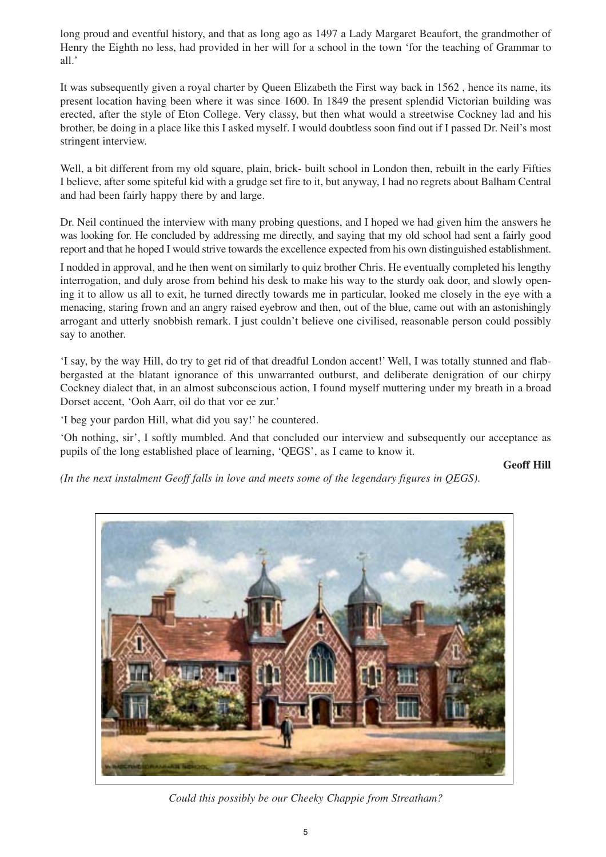long proud and eventful history, and that as long ago as 1497 a Lady Margaret Beaufort, the grandmother of Henry the Eighth no less, had provided in her will for a school in the town 'for the teaching of Grammar to all.'

It was subsequently given a royal charter by Queen Elizabeth the First way back in 1562 , hence its name, its present location having been where it was since 1600. In 1849 the present splendid Victorian building was erected, after the style of Eton College. Very classy, but then what would a streetwise Cockney lad and his brother, be doing in a place like this I asked myself. I would doubtless soon find out if I passed Dr. Neil's most stringent interview.

Well, a bit different from my old square, plain, brick- built school in London then, rebuilt in the early Fifties I believe, after some spiteful kid with a grudge set fire to it, but anyway, I had no regrets about Balham Central and had been fairly happy there by and large.

Dr. Neil continued the interview with many probing questions, and I hoped we had given him the answers he was looking for. He concluded by addressing me directly, and saying that my old school had sent a fairly good report and that he hoped I would strive towards the excellence expected from his own distinguished establishment.

I nodded in approval, and he then went on similarly to quiz brother Chris. He eventually completed his lengthy interrogation, and duly arose from behind his desk to make his way to the sturdy oak door, and slowly opening it to allow us all to exit, he turned directly towards me in particular, looked me closely in the eye with a menacing, staring frown and an angry raised eyebrow and then, out of the blue, came out with an astonishingly arrogant and utterly snobbish remark. I just couldn't believe one civilised, reasonable person could possibly say to another.

'I say, by the way Hill, do try to get rid of that dreadful London accent!' Well, I was totally stunned and flabbergasted at the blatant ignorance of this unwarranted outburst, and deliberate denigration of our chirpy Cockney dialect that, in an almost subconscious action, I found myself muttering under my breath in a broad Dorset accent, 'Ooh Aarr, oil do that vor ee zur.'

'I beg your pardon Hill, what did you say!' he countered.

'Oh nothing, sir', I softly mumbled. And that concluded our interview and subsequently our acceptance as pupils of the long established place of learning, 'QEGS', as I came to know it.

**Geoff Hill**

*(In the next instalment Geoff falls in love and meets some of the legendary figures in QEGS)*.



*Could this possibly be our Cheeky Chappie from Streatham?*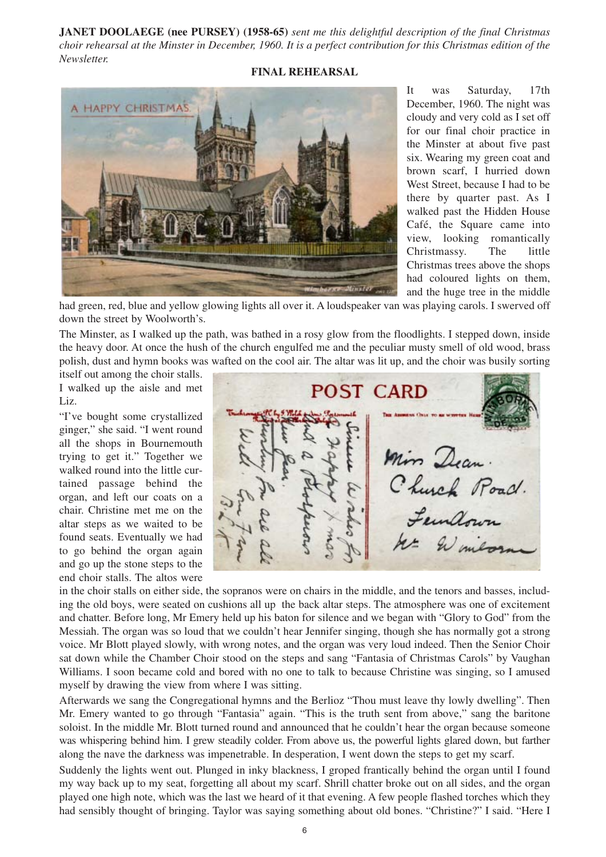**JANET DOOLAEGE (nee PURSEY) (1958-65)** *sent me this delightful description of the final Christmas choir rehearsal at the Minster in December, 1960. It is a perfect contribution for this Christmas edition of the Newsletter.*

#### **FINAL REHEARSAL**



It was Saturday, 17th December, 1960. The night was cloudy and very cold as I set off for our final choir practice in the Minster at about five past six. Wearing my green coat and brown scarf, I hurried down West Street, because I had to be there by quarter past. As I walked past the Hidden House Café, the Square came into view, looking romantically Christmassy. The little Christmas trees above the shops had coloured lights on them, and the huge tree in the middle

had green, red, blue and yellow glowing lights all over it. A loudspeaker van was playing carols. I swerved off down the street by Woolworth's.

The Minster, as I walked up the path, was bathed in a rosy glow from the floodlights. I stepped down, inside the heavy door. At once the hush of the church engulfed me and the peculiar musty smell of old wood, brass polish, dust and hymn books was wafted on the cool air. The altar was lit up, and the choir was busily sorting

itself out among the choir stalls. I walked up the aisle and met Liz.

"I've bought some crystallized ginger," she said. "I went round all the shops in Bournemouth trying to get it." Together we walked round into the little curtained passage behind the organ, and left our coats on a chair. Christine met me on the altar steps as we waited to be found seats. Eventually we had to go behind the organ again and go up the stone steps to the end choir stalls. The altos were



in the choir stalls on either side, the sopranos were on chairs in the middle, and the tenors and basses, including the old boys, were seated on cushions all up the back altar steps. The atmosphere was one of excitement and chatter. Before long, Mr Emery held up his baton for silence and we began with "Glory to God" from the Messiah. The organ was so loud that we couldn't hear Jennifer singing, though she has normally got a strong voice. Mr Blott played slowly, with wrong notes, and the organ was very loud indeed. Then the Senior Choir sat down while the Chamber Choir stood on the steps and sang "Fantasia of Christmas Carols" by Vaughan Williams. I soon became cold and bored with no one to talk to because Christine was singing, so I amused myself by drawing the view from where I was sitting.

Afterwards we sang the Congregational hymns and the Berlioz "Thou must leave thy lowly dwelling". Then Mr. Emery wanted to go through "Fantasia" again. "This is the truth sent from above," sang the baritone soloist. In the middle Mr. Blott turned round and announced that he couldn't hear the organ because someone was whispering behind him. I grew steadily colder. From above us, the powerful lights glared down, but farther along the nave the darkness was impenetrable. In desperation, I went down the steps to get my scarf.

Suddenly the lights went out. Plunged in inky blackness, I groped frantically behind the organ until I found my way back up to my seat, forgetting all about my scarf. Shrill chatter broke out on all sides, and the organ played one high note, which was the last we heard of it that evening. A few people flashed torches which they had sensibly thought of bringing. Taylor was saying something about old bones. "Christine?" I said. "Here I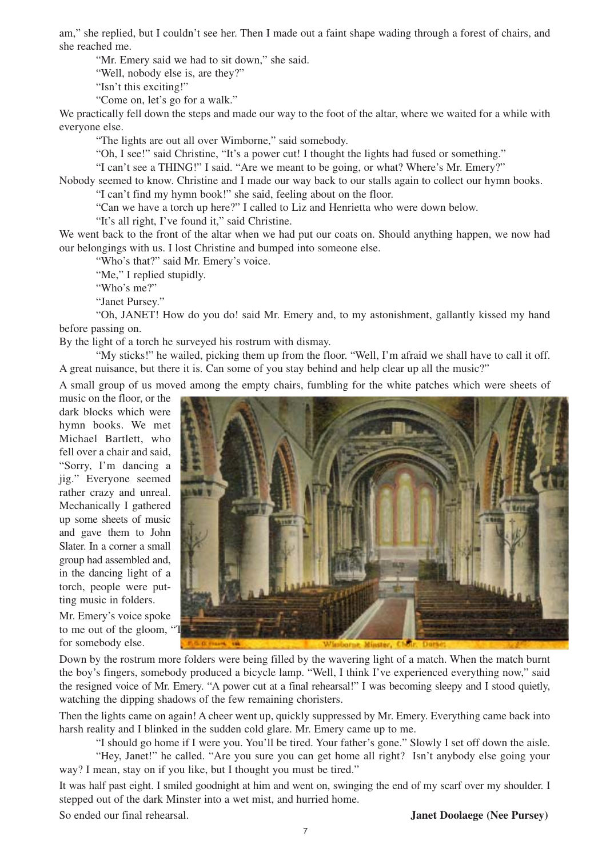am," she replied, but I couldn't see her. Then I made out a faint shape wading through a forest of chairs, and she reached me.

"Mr. Emery said we had to sit down," she said.

"Well, nobody else is, are they?"

"Isn't this exciting!"

"Come on, let's go for a walk."

We practically fell down the steps and made our way to the foot of the altar, where we waited for a while with everyone else.

"The lights are out all over Wimborne," said somebody.

"Oh, I see!" said Christine, "It's a power cut! I thought the lights had fused or something."

"I can't see a THING!" I said. "Are we meant to be going, or what? Where's Mr. Emery?"

Nobody seemed to know. Christine and I made our way back to our stalls again to collect our hymn books. "I can't find my hymn book!" she said, feeling about on the floor.

"Can we have a torch up here?" I called to Liz and Henrietta who were down below.

"It's all right, I've found it," said Christine.

We went back to the front of the altar when we had put our coats on. Should anything happen, we now had our belongings with us. I lost Christine and bumped into someone else.

"Who's that?" said Mr. Emery's voice.

"Me," I replied stupidly.

"Who's me?"

"Janet Pursey."

"Oh, JANET! How do you do! said Mr. Emery and, to my astonishment, gallantly kissed my hand before passing on.

By the light of a torch he surveyed his rostrum with dismay.

"My sticks!" he wailed, picking them up from the floor. "Well, I'm afraid we shall have to call it off. A great nuisance, but there it is. Can some of you stay behind and help clear up all the music?"

A small group of us moved among the empty chairs, fumbling for the white patches which were sheets of

music on the floor, or the dark blocks which were hymn books. We met Michael Bartlett, who fell over a chair and said, "Sorry, I'm dancing a jig." Everyone seemed rather crazy and unreal. Mechanically I gathered up some sheets of music and gave them to John Slater. In a corner a small group had assembled and, in the dancing light of a torch, people were putting music in folders.

Mr. Emery's voice spoke to me out of the gloom, "Thank you to me out of the gloom, "Then we had me for somebody else.



Down by the rostrum more folders were being filled by the wavering light of a match. When the match burnt the boy's fingers, somebody produced a bicycle lamp. "Well, I think I've experienced everything now," said the resigned voice of Mr. Emery. "A power cut at a final rehearsal!" I was becoming sleepy and I stood quietly, watching the dipping shadows of the few remaining choristers.

Then the lights came on again! A cheer went up, quickly suppressed by Mr. Emery. Everything came back into harsh reality and I blinked in the sudden cold glare. Mr. Emery came up to me.

"I should go home if I were you. You'll be tired. Your father's gone." Slowly I set off down the aisle.

"Hey, Janet!" he called. "Are you sure you can get home all right? Isn't anybody else going your way? I mean, stay on if you like, but I thought you must be tired."

It was half past eight. I smiled goodnight at him and went on, swinging the end of my scarf over my shoulder. I stepped out of the dark Minster into a wet mist, and hurried home.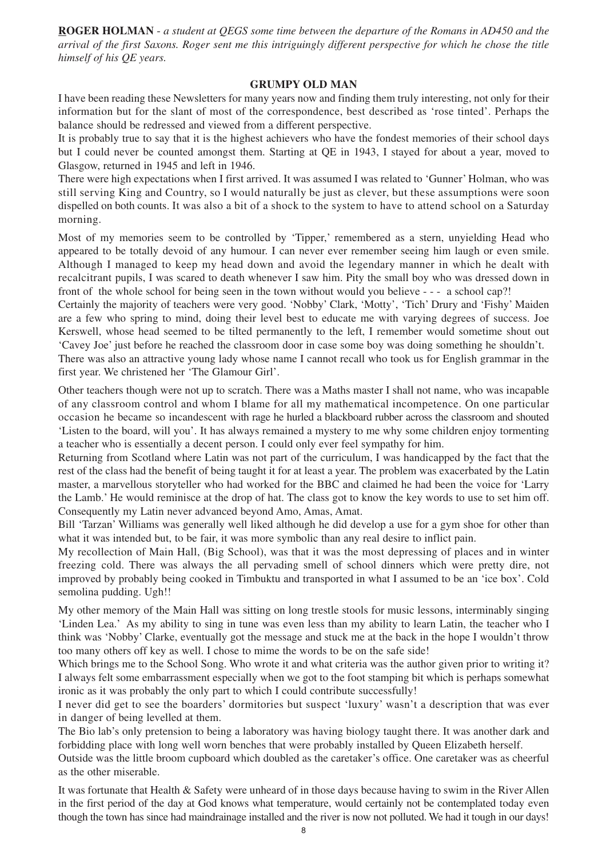**ROGER HOLMAN** - *a student at QEGS some time between the departure of the Romans in AD450 and the arrival of the first Saxons. Roger sent me this intriguingly different perspective for which he chose the title himself of his QE years.*

#### **GRUMPY OLD MAN**

I have been reading these Newsletters for many years now and finding them truly interesting, not only for their information but for the slant of most of the correspondence, best described as 'rose tinted'. Perhaps the balance should be redressed and viewed from a different perspective.

It is probably true to say that it is the highest achievers who have the fondest memories of their school days but I could never be counted amongst them. Starting at QE in 1943, I stayed for about a year, moved to Glasgow, returned in 1945 and left in 1946.

There were high expectations when I first arrived. It was assumed I was related to 'Gunner' Holman, who was still serving King and Country, so I would naturally be just as clever, but these assumptions were soon dispelled on both counts. It was also a bit of a shock to the system to have to attend school on a Saturday morning.

Most of my memories seem to be controlled by 'Tipper,' remembered as a stern, unyielding Head who appeared to be totally devoid of any humour. I can never ever remember seeing him laugh or even smile. Although I managed to keep my head down and avoid the legendary manner in which he dealt with recalcitrant pupils, I was scared to death whenever I saw him. Pity the small boy who was dressed down in front of the whole school for being seen in the town without would you believe - - - a school cap?!

Certainly the majority of teachers were very good. 'Nobby' Clark, 'Motty', 'Tich' Drury and 'Fishy' Maiden are a few who spring to mind, doing their level best to educate me with varying degrees of success. Joe Kerswell, whose head seemed to be tilted permanently to the left, I remember would sometime shout out 'Cavey Joe' just before he reached the classroom door in case some boy was doing something he shouldn't.

There was also an attractive young lady whose name I cannot recall who took us for English grammar in the first year. We christened her 'The Glamour Girl'.

Other teachers though were not up to scratch. There was a Maths master I shall not name, who was incapable of any classroom control and whom I blame for all my mathematical incompetence. On one particular occasion he became so incandescent with rage he hurled a blackboard rubber across the classroom and shouted 'Listen to the board, will you'. It has always remained a mystery to me why some children enjoy tormenting a teacher who is essentially a decent person. I could only ever feel sympathy for him.

Returning from Scotland where Latin was not part of the curriculum, I was handicapped by the fact that the rest of the class had the benefit of being taught it for at least a year. The problem was exacerbated by the Latin master, a marvellous storyteller who had worked for the BBC and claimed he had been the voice for 'Larry the Lamb.' He would reminisce at the drop of hat. The class got to know the key words to use to set him off. Consequently my Latin never advanced beyond Amo, Amas, Amat.

Bill 'Tarzan' Williams was generally well liked although he did develop a use for a gym shoe for other than what it was intended but, to be fair, it was more symbolic than any real desire to inflict pain.

My recollection of Main Hall, (Big School), was that it was the most depressing of places and in winter freezing cold. There was always the all pervading smell of school dinners which were pretty dire, not improved by probably being cooked in Timbuktu and transported in what I assumed to be an 'ice box'. Cold semolina pudding. Ugh!!

My other memory of the Main Hall was sitting on long trestle stools for music lessons, interminably singing 'Linden Lea.' As my ability to sing in tune was even less than my ability to learn Latin, the teacher who I think was 'Nobby' Clarke, eventually got the message and stuck me at the back in the hope I wouldn't throw too many others off key as well. I chose to mime the words to be on the safe side!

Which brings me to the School Song. Who wrote it and what criteria was the author given prior to writing it? I always felt some embarrassment especially when we got to the foot stamping bit which is perhaps somewhat ironic as it was probably the only part to which I could contribute successfully!

I never did get to see the boarders' dormitories but suspect 'luxury' wasn't a description that was ever in danger of being levelled at them.

The Bio lab's only pretension to being a laboratory was having biology taught there. It was another dark and forbidding place with long well worn benches that were probably installed by Queen Elizabeth herself.

Outside was the little broom cupboard which doubled as the caretaker's office. One caretaker was as cheerful as the other miserable.

It was fortunate that Health & Safety were unheard of in those days because having to swim in the River Allen in the first period of the day at God knows what temperature, would certainly not be contemplated today even though the town has since had maindrainage installed and the river is now not polluted. We had it tough in our days!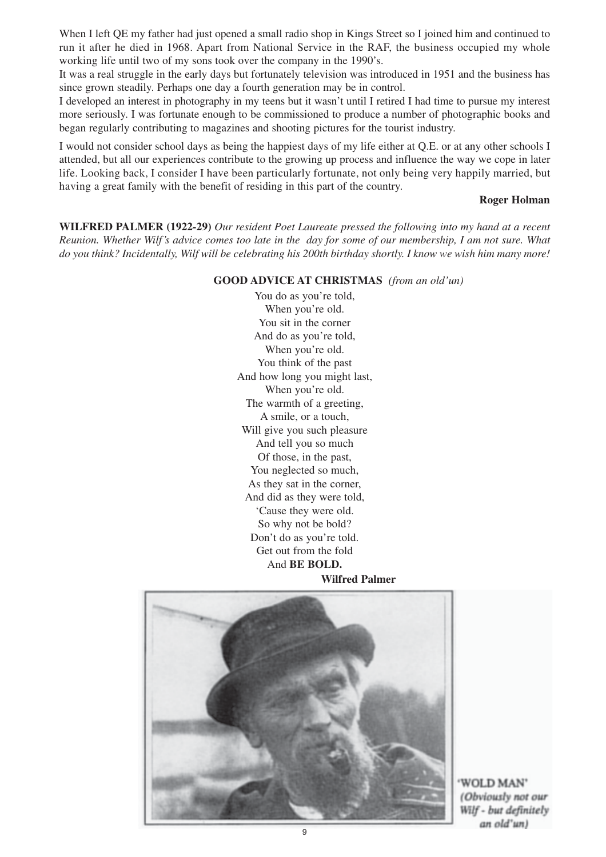When I left OE my father had just opened a small radio shop in Kings Street so I joined him and continued to run it after he died in 1968. Apart from National Service in the RAF, the business occupied my whole working life until two of my sons took over the company in the 1990's.

It was a real struggle in the early days but fortunately television was introduced in 1951 and the business has since grown steadily. Perhaps one day a fourth generation may be in control.

I developed an interest in photography in my teens but it wasn't until I retired I had time to pursue my interest more seriously. I was fortunate enough to be commissioned to produce a number of photographic books and began regularly contributing to magazines and shooting pictures for the tourist industry.

I would not consider school days as being the happiest days of my life either at Q.E. or at any other schools I attended, but all our experiences contribute to the growing up process and influence the way we cope in later life. Looking back, I consider I have been particularly fortunate, not only being very happily married, but having a great family with the benefit of residing in this part of the country.

#### **Roger Holman**

**WILFRED PALMER (1922-29)** *Our resident Poet Laureate pressed the following into my hand at a recent Reunion. Whether Wilf's advice comes too late in the day for some of our membership, I am not sure. What do you think? Incidentally, Wilf will be celebrating his 200th birthday shortly. I know we wish him many more!*

#### **GOOD ADVICE AT CHRISTMAS** *(from an old'un)*

You do as you're told, When you're old. You sit in the corner And do as you're told, When you're old. You think of the past And how long you might last, When you're old. The warmth of a greeting, A smile, or a touch, Will give you such pleasure And tell you so much Of those, in the past, You neglected so much, As they sat in the corner, And did as they were told, 'Cause they were old. So why not be bold? Don't do as you're told. Get out from the fold And **BE BOLD.**

**Wilfred Palmer**



'WOLD MAN' *(Obviously not our Wilf - but definitely an old'un)*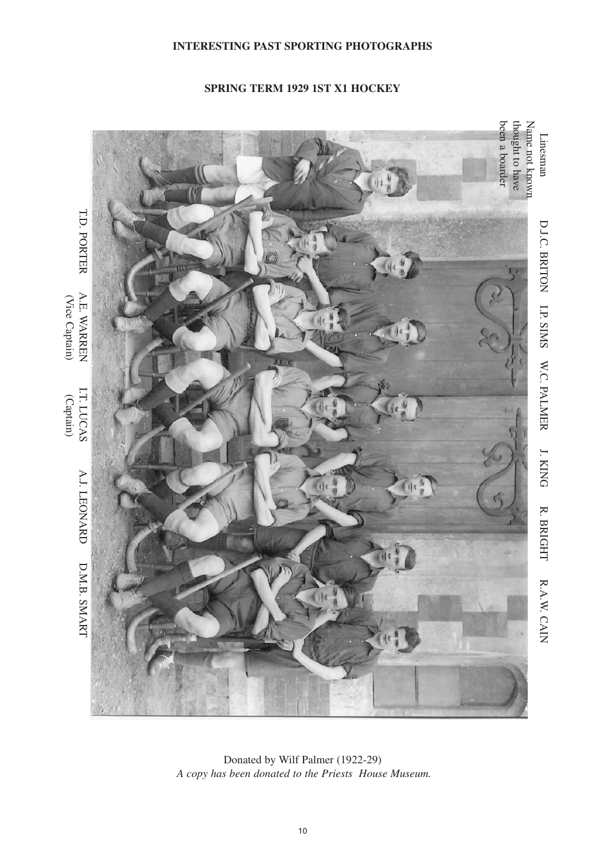#### **INTERESTING PAST SPORTING PHOTOGRAPHS**

#### **SPRING TERM 1929 1ST X1 HOCKEY**



Donated by Wilf Palmer (1922-29) *A copy has been donated to the Priests House Museum.*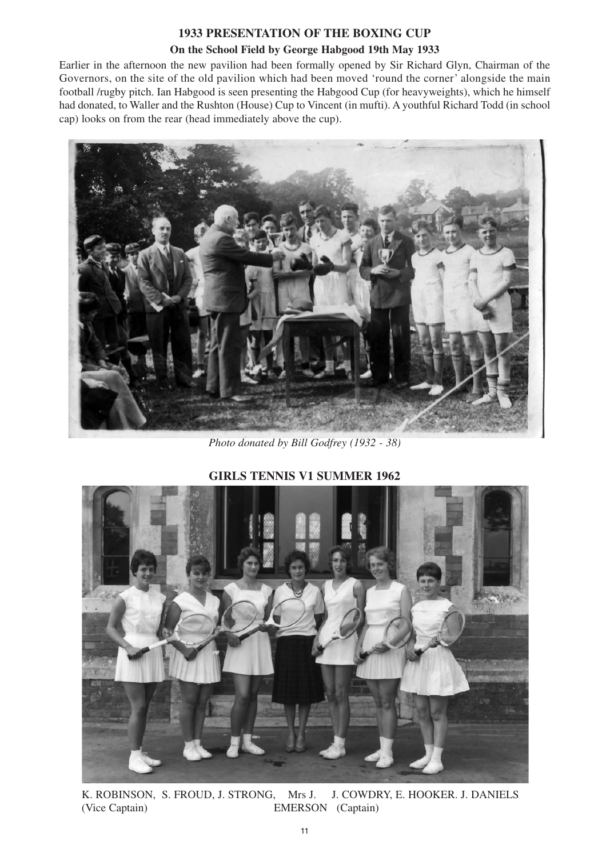# **1933 PRESENTATION OF THE BOXING CUP**

# **On the School Field by George Habgood 19th May 1933**

Earlier in the afternoon the new pavilion had been formally opened by Sir Richard Glyn, Chairman of the Governors, on the site of the old pavilion which had been moved 'round the corner' alongside the main football /rugby pitch. Ian Habgood is seen presenting the Habgood Cup (for heavyweights), which he himself had donated, to Waller and the Rushton (House) Cup to Vincent (in mufti). A youthful Richard Todd (in school cap) looks on from the rear (head immediately above the cup).



*Photo donated by Bill Godfrey (1932 - 38)* 



# **GIRLS TENNIS V1 SUMMER 1962**

K. ROBINSON, S. FROUD, J. STRONG, Mrs J. J. COWDRY, E. HOOKER. J. DANIELS (Vice Captain) EMERSON (Captain)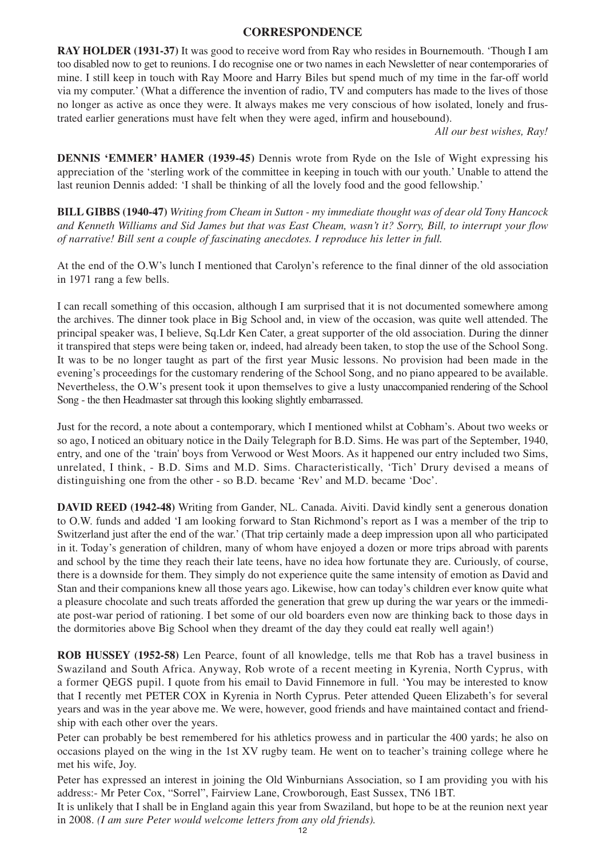### **CORRESPONDENCE**

**RAY HOLDER (1931-37)** It was good to receive word from Ray who resides in Bournemouth. 'Though I am too disabled now to get to reunions. I do recognise one or two names in each Newsletter of near contemporaries of mine. I still keep in touch with Ray Moore and Harry Biles but spend much of my time in the far-off world via my computer.' (What a difference the invention of radio, TV and computers has made to the lives of those no longer as active as once they were. It always makes me very conscious of how isolated, lonely and frustrated earlier generations must have felt when they were aged, infirm and housebound).

*All our best wishes, Ray!*

**DENNIS 'EMMER' HAMER (1939-45)** Dennis wrote from Ryde on the Isle of Wight expressing his appreciation of the 'sterling work of the committee in keeping in touch with our youth.' Unable to attend the last reunion Dennis added: 'I shall be thinking of all the lovely food and the good fellowship.'

**BILL GIBBS (1940-47)** *Writing from Cheam in Sutton - my immediate thought was of dear old Tony Hancock and Kenneth Williams and Sid James but that was East Cheam, wasn't it? Sorry, Bill, to interrupt your flow of narrative! Bill sent a couple of fascinating anecdotes. I reproduce his letter in full.*

At the end of the O.W's lunch I mentioned that Carolyn's reference to the final dinner of the old association in 1971 rang a few bells.

I can recall something of this occasion, although I am surprised that it is not documented somewhere among the archives. The dinner took place in Big School and, in view of the occasion, was quite well attended. The principal speaker was, I believe, Sq.Ldr Ken Cater, a great supporter of the old association. During the dinner it transpired that steps were being taken or, indeed, had already been taken, to stop the use of the School Song. It was to be no longer taught as part of the first year Music lessons. No provision had been made in the evening's proceedings for the customary rendering of the School Song, and no piano appeared to be available. Nevertheless, the O.W's present took it upon themselves to give a lusty unaccompanied rendering of the School Song - the then Headmaster sat through this looking slightly embarrassed.

Just for the record, a note about a contemporary, which I mentioned whilst at Cobham's. About two weeks or so ago, I noticed an obituary notice in the Daily Telegraph for B.D. Sims. He was part of the September, 1940, entry, and one of the 'train' boys from Verwood or West Moors. As it happened our entry included two Sims, unrelated, I think, - B.D. Sims and M.D. Sims. Characteristically, 'Tich' Drury devised a means of distinguishing one from the other - so B.D. became 'Rev' and M.D. became 'Doc'.

**DAVID REED (1942-48)** Writing from Gander, NL. Canada. Aiviti. David kindly sent a generous donation to O.W. funds and added 'I am looking forward to Stan Richmond's report as I was a member of the trip to Switzerland just after the end of the war.' (That trip certainly made a deep impression upon all who participated in it. Today's generation of children, many of whom have enjoyed a dozen or more trips abroad with parents and school by the time they reach their late teens, have no idea how fortunate they are. Curiously, of course, there is a downside for them. They simply do not experience quite the same intensity of emotion as David and Stan and their companions knew all those years ago. Likewise, how can today's children ever know quite what a pleasure chocolate and such treats afforded the generation that grew up during the war years or the immediate post-war period of rationing. I bet some of our old boarders even now are thinking back to those days in the dormitories above Big School when they dreamt of the day they could eat really well again!)

**ROB HUSSEY (1952-58)** Len Pearce, fount of all knowledge, tells me that Rob has a travel business in Swaziland and South Africa. Anyway, Rob wrote of a recent meeting in Kyrenia, North Cyprus, with a former QEGS pupil. I quote from his email to David Finnemore in full. 'You may be interested to know that I recently met PETER COX in Kyrenia in North Cyprus. Peter attended Queen Elizabeth's for several years and was in the year above me. We were, however, good friends and have maintained contact and friendship with each other over the years.

Peter can probably be best remembered for his athletics prowess and in particular the 400 yards; he also on occasions played on the wing in the 1st XV rugby team. He went on to teacher's training college where he met his wife, Joy.

Peter has expressed an interest in joining the Old Winburnians Association, so I am providing you with his address:- Mr Peter Cox, "Sorrel", Fairview Lane, Crowborough, East Sussex, TN6 1BT.

It is unlikely that I shall be in England again this year from Swaziland, but hope to be at the reunion next year in 2008. *(I am sure Peter would welcome letters from any old friends).*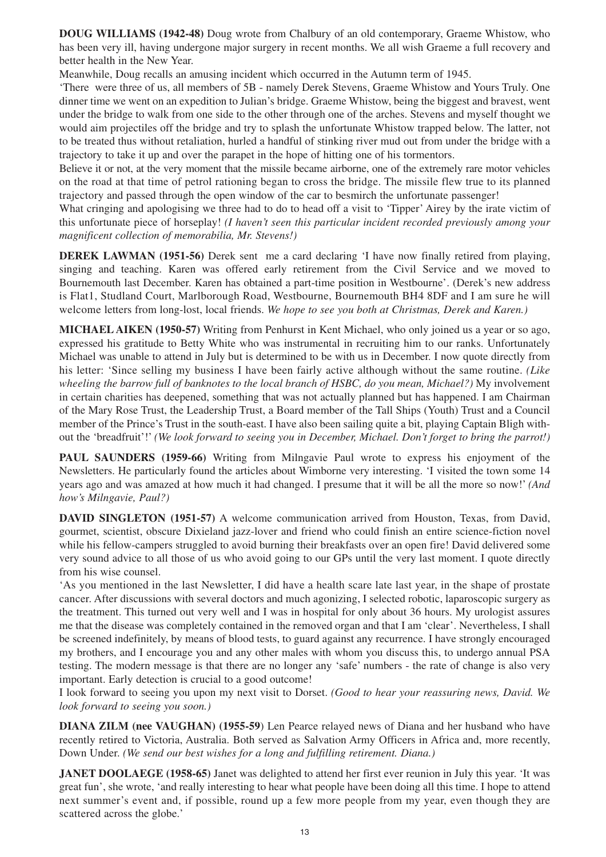**DOUG WILLIAMS (1942-48)** Doug wrote from Chalbury of an old contemporary, Graeme Whistow, who has been very ill, having undergone major surgery in recent months. We all wish Graeme a full recovery and better health in the New Year.

Meanwhile, Doug recalls an amusing incident which occurred in the Autumn term of 1945.

'There were three of us, all members of 5B - namely Derek Stevens, Graeme Whistow and Yours Truly. One dinner time we went on an expedition to Julian's bridge. Graeme Whistow, being the biggest and bravest, went under the bridge to walk from one side to the other through one of the arches. Stevens and myself thought we would aim projectiles off the bridge and try to splash the unfortunate Whistow trapped below. The latter, not to be treated thus without retaliation, hurled a handful of stinking river mud out from under the bridge with a trajectory to take it up and over the parapet in the hope of hitting one of his tormentors.

Believe it or not, at the very moment that the missile became airborne, one of the extremely rare motor vehicles on the road at that time of petrol rationing began to cross the bridge. The missile flew true to its planned trajectory and passed through the open window of the car to besmirch the unfortunate passenger!

What cringing and apologising we three had to do to head off a visit to 'Tipper' Airey by the irate victim of this unfortunate piece of horseplay! *(I haven't seen this particular incident recorded previously among your magnificent collection of memorabilia, Mr. Stevens!)*

**DEREK LAWMAN (1951-56)** Derek sent me a card declaring 'I have now finally retired from playing, singing and teaching. Karen was offered early retirement from the Civil Service and we moved to Bournemouth last December. Karen has obtained a part-time position in Westbourne'. (Derek's new address is Flat1, Studland Court, Marlborough Road, Westbourne, Bournemouth BH4 8DF and I am sure he will welcome letters from long-lost, local friends. *We hope to see you both at Christmas, Derek and Karen.)*

**MICHAEL AIKEN (1950-57)** Writing from Penhurst in Kent Michael, who only joined us a year or so ago, expressed his gratitude to Betty White who was instrumental in recruiting him to our ranks. Unfortunately Michael was unable to attend in July but is determined to be with us in December. I now quote directly from his letter: 'Since selling my business I have been fairly active although without the same routine. *(Like wheeling the barrow full of banknotes to the local branch of HSBC, do you mean, Michael?)* My involvement in certain charities has deepened, something that was not actually planned but has happened. I am Chairman of the Mary Rose Trust, the Leadership Trust, a Board member of the Tall Ships (Youth) Trust and a Council member of the Prince's Trust in the south-east. I have also been sailing quite a bit, playing Captain Bligh without the 'breadfruit'!' *(We look forward to seeing you in December, Michael. Don't forget to bring the parrot!)*

**PAUL SAUNDERS (1959-66)** Writing from Milngavie Paul wrote to express his enjoyment of the Newsletters. He particularly found the articles about Wimborne very interesting. 'I visited the town some 14 years ago and was amazed at how much it had changed. I presume that it will be all the more so now!' *(And how's Milngavie, Paul?)*

**DAVID SINGLETON (1951-57)** A welcome communication arrived from Houston, Texas, from David, gourmet, scientist, obscure Dixieland jazz-lover and friend who could finish an entire science-fiction novel while his fellow-campers struggled to avoid burning their breakfasts over an open fire! David delivered some very sound advice to all those of us who avoid going to our GPs until the very last moment. I quote directly from his wise counsel.

'As you mentioned in the last Newsletter, I did have a health scare late last year, in the shape of prostate cancer. After discussions with several doctors and much agonizing, I selected robotic, laparoscopic surgery as the treatment. This turned out very well and I was in hospital for only about 36 hours. My urologist assures me that the disease was completely contained in the removed organ and that I am 'clear'. Nevertheless, I shall be screened indefinitely, by means of blood tests, to guard against any recurrence. I have strongly encouraged my brothers, and I encourage you and any other males with whom you discuss this, to undergo annual PSA testing. The modern message is that there are no longer any 'safe' numbers - the rate of change is also very important. Early detection is crucial to a good outcome!

I look forward to seeing you upon my next visit to Dorset. *(Good to hear your reassuring news, David. We look forward to seeing you soon.)*

**DIANA ZILM (nee VAUGHAN) (1955-59**) Len Pearce relayed news of Diana and her husband who have recently retired to Victoria, Australia. Both served as Salvation Army Officers in Africa and, more recently, Down Under. *(We send our best wishes for a long and fulfilling retirement. Diana.)*

**JANET DOOLAEGE (1958-65)** Janet was delighted to attend her first ever reunion in July this year. 'It was great fun', she wrote, 'and really interesting to hear what people have been doing all this time. I hope to attend next summer's event and, if possible, round up a few more people from my year, even though they are scattered across the globe.'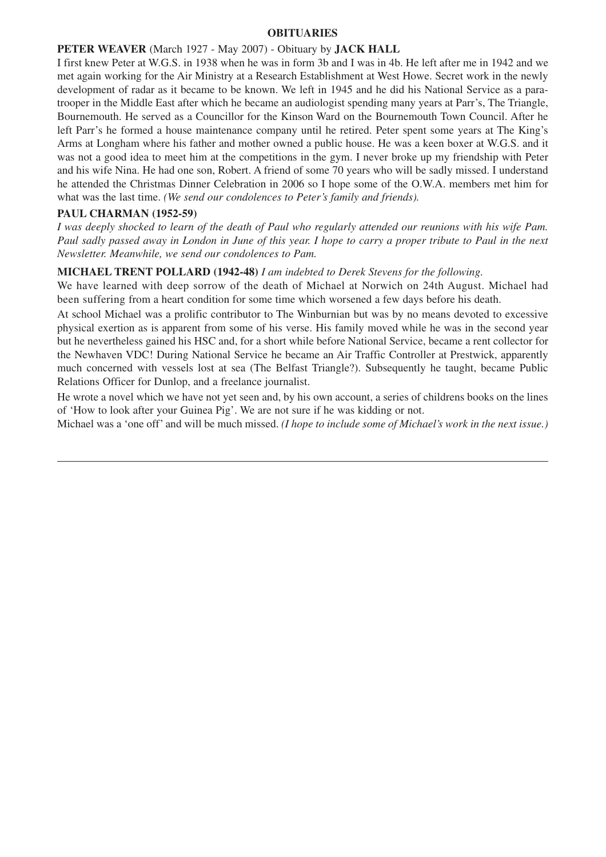#### **OBITUARIES**

#### **PETER WEAVER** (March 1927 - May 2007) - Obituary by **JACK HALL**

I first knew Peter at W.G.S. in 1938 when he was in form 3b and I was in 4b. He left after me in 1942 and we met again working for the Air Ministry at a Research Establishment at West Howe. Secret work in the newly development of radar as it became to be known. We left in 1945 and he did his National Service as a paratrooper in the Middle East after which he became an audiologist spending many years at Parr's, The Triangle, Bournemouth. He served as a Councillor for the Kinson Ward on the Bournemouth Town Council. After he left Parr's he formed a house maintenance company until he retired. Peter spent some years at The King's Arms at Longham where his father and mother owned a public house. He was a keen boxer at W.G.S. and it was not a good idea to meet him at the competitions in the gym. I never broke up my friendship with Peter and his wife Nina. He had one son, Robert. A friend of some 70 years who will be sadly missed. I understand he attended the Christmas Dinner Celebration in 2006 so I hope some of the O.W.A. members met him for what was the last time. *(We send our condolences to Peter's family and friends).*

#### **PAUL CHARMAN (1952-59)**

*I was deeply shocked to learn of the death of Paul who regularly attended our reunions with his wife Pam. Paul sadly passed away in London in June of this year. I hope to carry a proper tribute to Paul in the next Newsletter. Meanwhile, we send our condolences to Pam.*

#### **MICHAEL TRENT POLLARD (1942-48)** *I am indebted to Derek Stevens for the following.*

We have learned with deep sorrow of the death of Michael at Norwich on 24th August. Michael had been suffering from a heart condition for some time which worsened a few days before his death.

At school Michael was a prolific contributor to The Winburnian but was by no means devoted to excessive physical exertion as is apparent from some of his verse. His family moved while he was in the second year but he nevertheless gained his HSC and, for a short while before National Service, became a rent collector for the Newhaven VDC! During National Service he became an Air Traffic Controller at Prestwick, apparently much concerned with vessels lost at sea (The Belfast Triangle?). Subsequently he taught, became Public Relations Officer for Dunlop, and a freelance journalist.

He wrote a novel which we have not yet seen and, by his own account, a series of childrens books on the lines of 'How to look after your Guinea Pig'. We are not sure if he was kidding or not.

Michael was a 'one off' and will be much missed. *(I hope to include some of Michael's work in the next issue.)*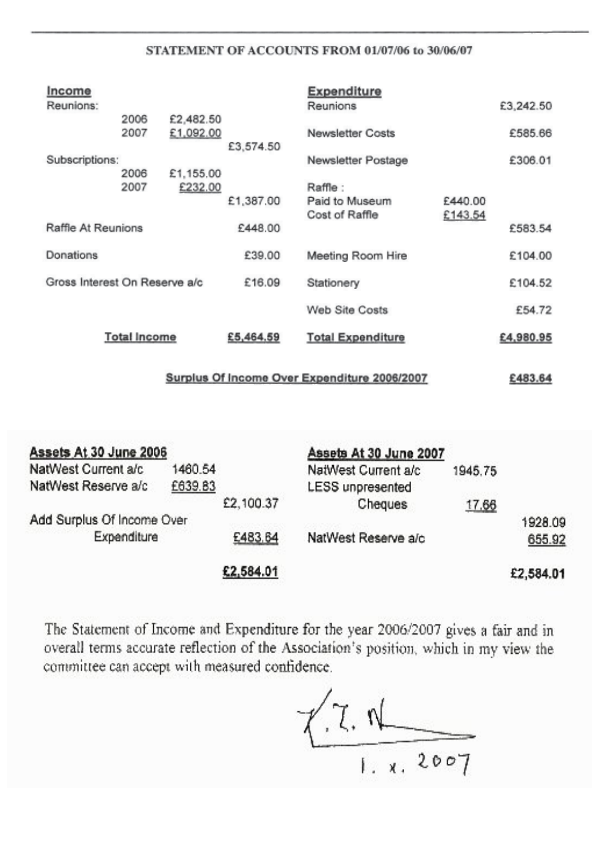# STATEMENT OF ACCOUNTS FROM 01/07/06 to 30/06/07

| Income                                       |                     |                      |           | <b>Expenditure</b>                          |                    |           |
|----------------------------------------------|---------------------|----------------------|-----------|---------------------------------------------|--------------------|-----------|
| Reunions:                                    | 2006                | £2,482.50            |           | Reunions                                    |                    | £3,242.50 |
|                                              | 2007                | £1,092.00            | £3,574.50 | <b>Newsletter Costs</b>                     |                    | £585.66   |
| Subscriptions:                               |                     |                      |           | Newsletter Postage                          |                    | £306.01   |
|                                              | 2006<br>2007        | £1,155.00<br>£232.00 | £1,387.00 | Raffle:<br>Paid to Museum<br>Cost of Raffle | £440.00<br>£143.54 |           |
| Raffle At Reunions                           |                     |                      | £448.00   |                                             |                    | £583.54   |
| Donations                                    |                     |                      | £39.00    | Meeting Room Hire                           |                    | £104.00   |
| Gross Interest On Reserve a/c                |                     |                      | £16.09    | Stationery                                  |                    | £104.52   |
|                                              |                     |                      |           | <b>Web Site Costs</b>                       |                    | £54.72    |
|                                              | <b>Total Income</b> |                      | £5,464.59 | <b>Total Expenditure</b>                    |                    | £4,980.95 |
| Surplus Of Income Over Expenditure 2006/2007 |                     |                      |           |                                             |                    |           |

| Assets At 30 June 2006     |         |           | Assets At 30 June 2007  |         |           |
|----------------------------|---------|-----------|-------------------------|---------|-----------|
| NatWest Current a/c        | 1460.54 |           | NatWest Current a/c     | 1945.75 |           |
| NatWest Reserve a/c        | £639.83 |           | <b>LESS</b> unpresented |         |           |
|                            |         | £2,100.37 | Cheques                 | 17.66   |           |
| Add Surplus Of Income Over |         |           |                         |         | 1928.09   |
| <b>Expenditure</b>         |         | £483.64   | NatWest Reserve a/c     |         | 655.92    |
|                            |         | £2,584.01 |                         |         | £2,584.01 |

The Statement of Income and Expenditure for the year 2006/2007 gives a fair and in overall terms accurate reflection of the Association's position, which in my view the committee can accept with measured confidence.

 $7.70$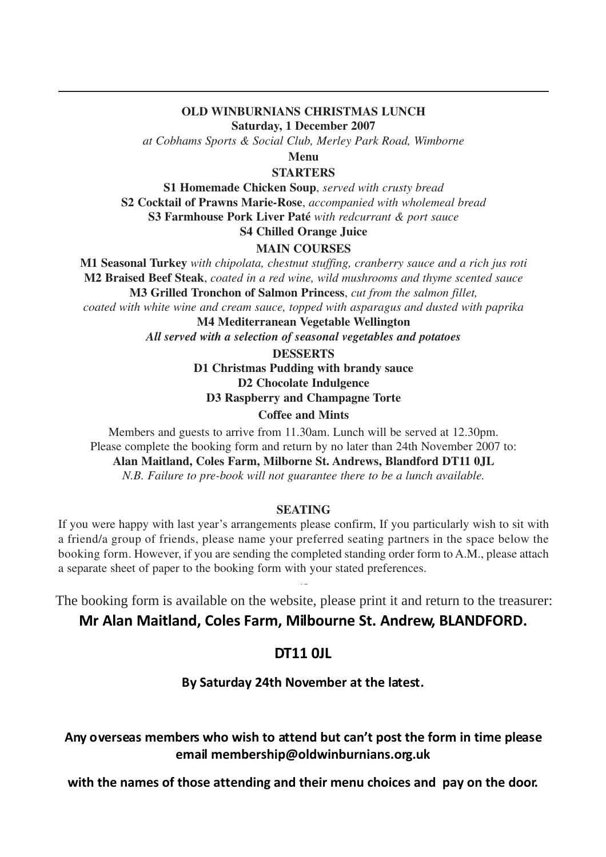#### **OLD WINBURNIANS CHRISTMAS LUNCH Saturday, 1 December 2007**

*at Cobhams Sports & Social Club, Merley Park Road, Wimborne*

**Menu**

### **STARTERS**

**S1 Homemade Chicken Soup**, *served with crusty bread* **S2 Cocktail of Prawns Marie-Rose**, *accompanied with wholemeal bread* **S3 Farmhouse Pork Liver Paté** *with redcurrant & port sauce* **S4 Chilled Orange Juice**

# **MAIN COURSES**

**M1 Seasonal Turkey** *with chipolata, chestnut stuffing, cranberry sauce and a rich jus roti* **M2 Braised Beef Steak**, *coated in a red wine, wild mushrooms and thyme scented sauce* **M3 Grilled Tronchon of Salmon Princess**, *cut from the salmon fillet,* 

*coated with white wine and cream sauce, topped with asparagus and dusted with paprika*

**M4 Mediterranean Vegetable Wellington** *All served with a selection of seasonal vegetables and potatoes* 

**DESSERTS**

**D1 Christmas Pudding with brandy sauce D2 Chocolate Indulgence D3 Raspberry and Champagne Torte**

### **Coffee and Mints**

Members and guests to arrive from 11.30am. Lunch will be served at 12.30pm. Please complete the booking form and return by no later than 24th November 2007 to:

**Alan Maitland, Coles Farm, Milborne St. Andrews, Blandford DT11 0JL**

*N.B. Failure to pre-book will not guarantee there to be a lunch available.*

#### **SEATING**

If you were happy with last year's arrangements please confirm, If you particularly wish to sit with a friend/a group of friends, please name your preferred seating partners in the space below the booking form. However, if you are sending the completed standing order form to A.M., please attach a separate sheet of paper to the booking form with your stated preferences.

The booking form is available on the website, please print it and return to the treasurer: **Mr Alan Maitland, Coles Farm, Milbourne St. Andrew, BLANDFORD.**

15

# **DT11 0JL**

# **By Saturday 24th November at the latest.**

# **Any overseas members who wish to attend but can't post the form in time please email membership@oldwinburnians.org.uk**

**with the names of those attending and their menu choices and pay on the door.**